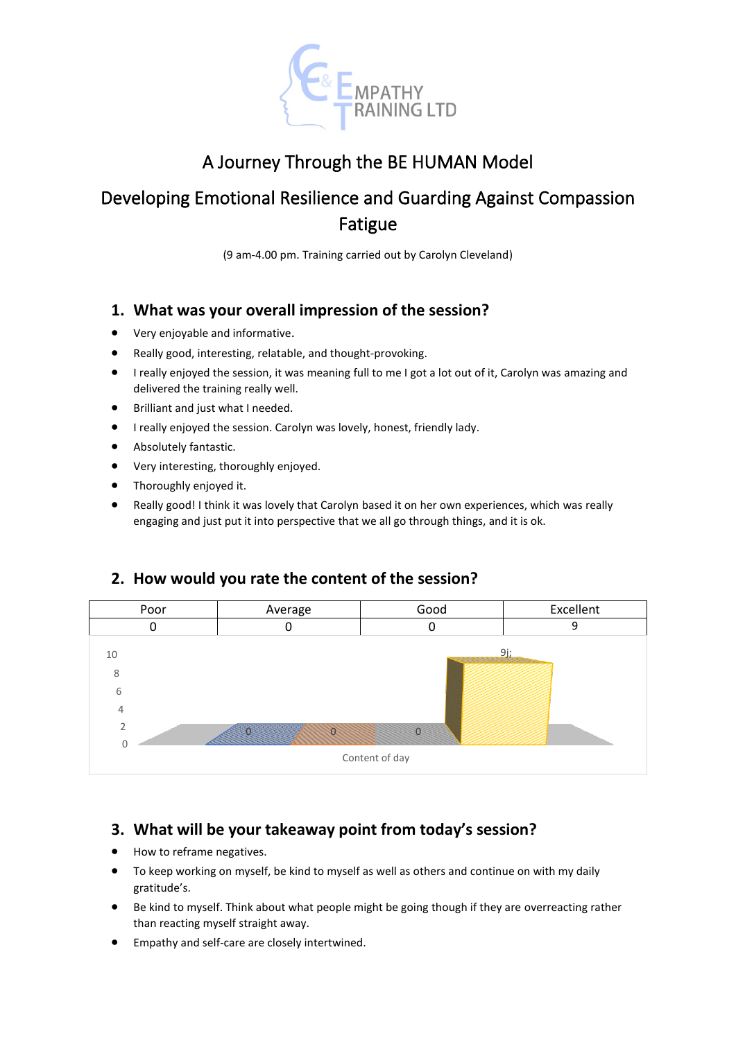

# A Journey Through the BE HUMAN Model

# Developing Emotional Resilience and Guarding Against Compassion Fatigue

(9 am-4.00 pm. Training carried out by Carolyn Cleveland)

#### **1. What was your overall impression of the session?**

- Very enjoyable and informative.
- Really good, interesting, relatable, and thought-provoking.
- I really enjoyed the session, it was meaning full to me I got a lot out of it, Carolyn was amazing and delivered the training really well.
- Brilliant and just what I needed.
- I really enjoyed the session. Carolyn was lovely, honest, friendly lady.
- Absolutely fantastic.
- Very interesting, thoroughly enjoyed.
- Thoroughly enjoyed it.
- Really good! I think it was lovely that Carolyn based it on her own experiences, which was really engaging and just put it into perspective that we all go through things, and it is ok.

#### **2. How would you rate the content of the session?**



#### **3. What will be your takeaway point from today's session?**

- How to reframe negatives.
- To keep working on myself, be kind to myself as well as others and continue on with my daily gratitude's.
- Be kind to myself. Think about what people might be going though if they are overreacting rather than reacting myself straight away.
- Empathy and self-care are closely intertwined.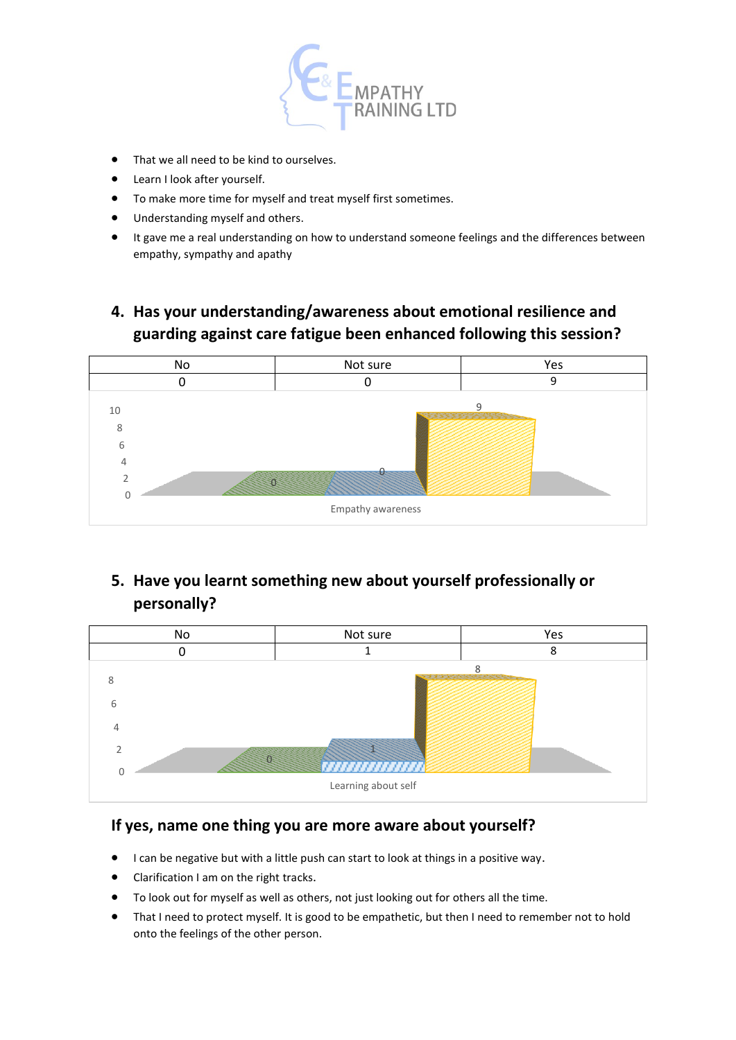

- That we all need to be kind to ourselves.
- Learn I look after yourself.
- To make more time for myself and treat myself first sometimes.
- Understanding myself and others.
- It gave me a real understanding on how to understand someone feelings and the differences between empathy, sympathy and apathy

# **4. Has your understanding/awareness about emotional resilience and guarding against care fatigue been enhanced following this session?**



### **5. Have you learnt something new about yourself professionally or personally?**



#### **If yes, name one thing you are more aware about yourself?**

- I can be negative but with a little push can start to look at things in a positive way.
- Clarification I am on the right tracks.
- To look out for myself as well as others, not just looking out for others all the time.
- That I need to protect myself. It is good to be empathetic, but then I need to remember not to hold onto the feelings of the other person.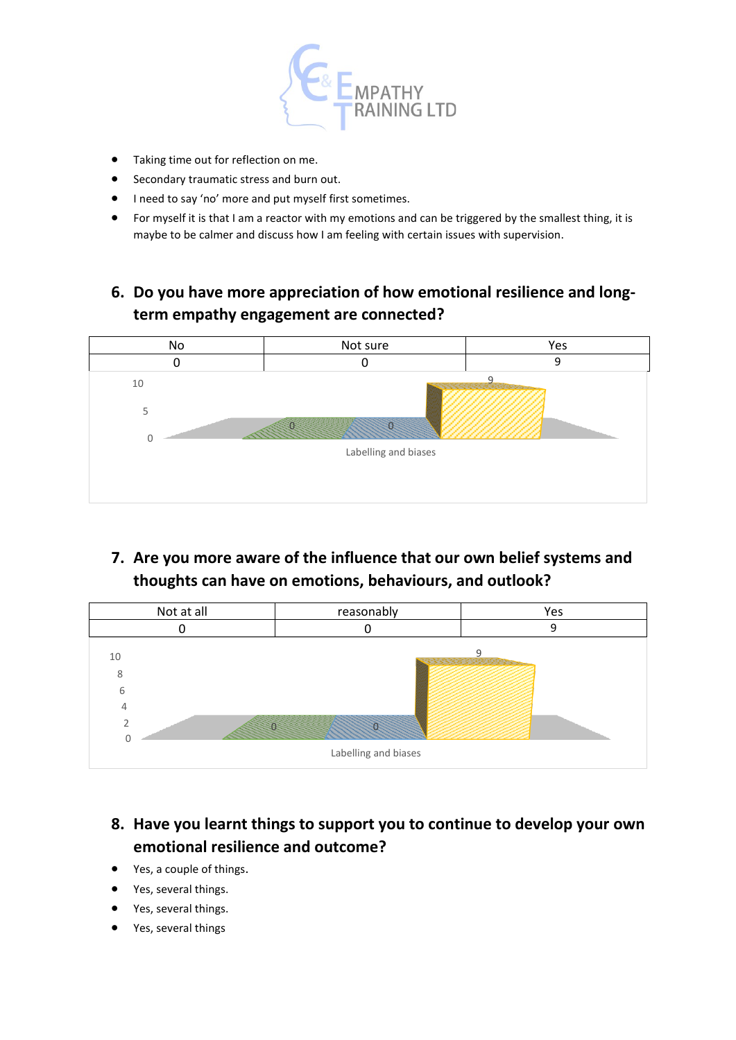

- Taking time out for reflection on me.
- Secondary traumatic stress and burn out.
- I need to say 'no' more and put myself first sometimes.
- For myself it is that I am a reactor with my emotions and can be triggered by the smallest thing, it is maybe to be calmer and discuss how I am feeling with certain issues with supervision.
- **6. Do you have more appreciation of how emotional resilience and longterm empathy engagement are connected?**



**7. Are you more aware of the influence that our own belief systems and thoughts can have on emotions, behaviours, and outlook?**



## **8. Have you learnt things to support you to continue to develop your own emotional resilience and outcome?**

- Yes, a couple of things.
- Yes, several things.
- Yes, several things.
- Yes, several things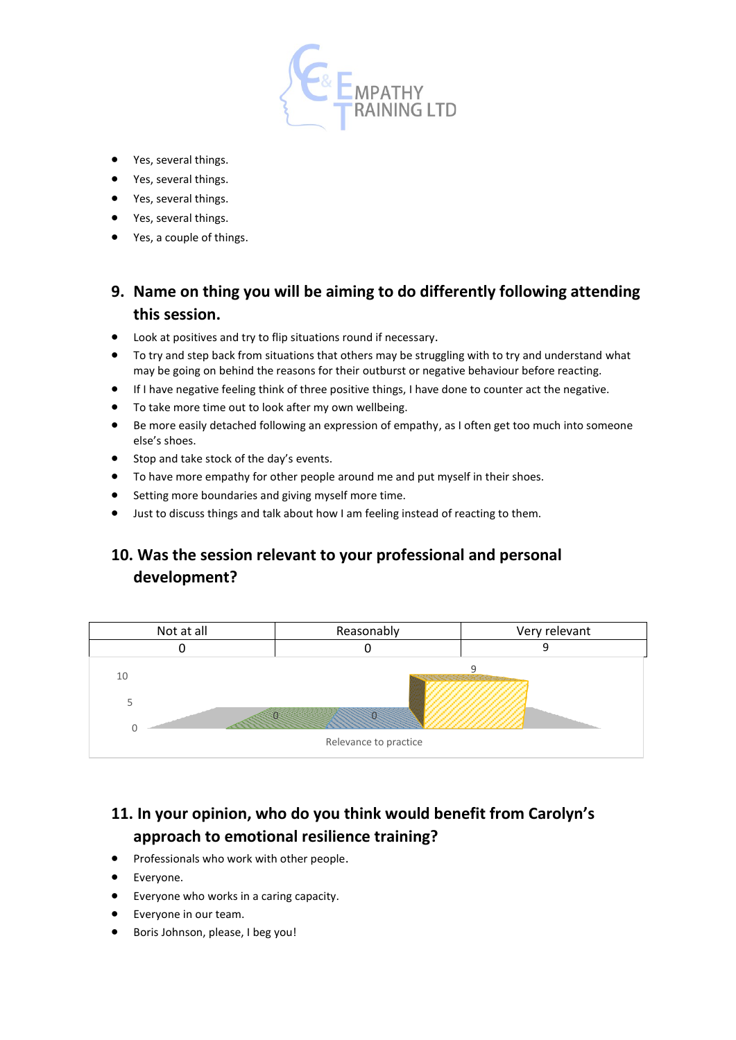

- Yes, several things.
- Yes, several things.
- Yes, several things.
- Yes, several things.
- Yes, a couple of things.

### **9. Name on thing you will be aiming to do differently following attending this session.**

- Look at positives and try to flip situations round if necessary.
- To try and step back from situations that others may be struggling with to try and understand what may be going on behind the reasons for their outburst or negative behaviour before reacting.
- If I have negative feeling think of three positive things, I have done to counter act the negative.
- To take more time out to look after my own wellbeing.
- Be more easily detached following an expression of empathy, as I often get too much into someone else's shoes.
- Stop and take stock of the day's events.
- To have more empathy for other people around me and put myself in their shoes.
- Setting more boundaries and giving myself more time.
- Just to discuss things and talk about how I am feeling instead of reacting to them.

# **10. Was the session relevant to your professional and personal development?**



# **11. In your opinion, who do you think would benefit from Carolyn's approach to emotional resilience training?**

- Professionals who work with other people.
- Everyone.
- Everyone who works in a caring capacity.
- Everyone in our team.
- Boris Johnson, please, I beg you!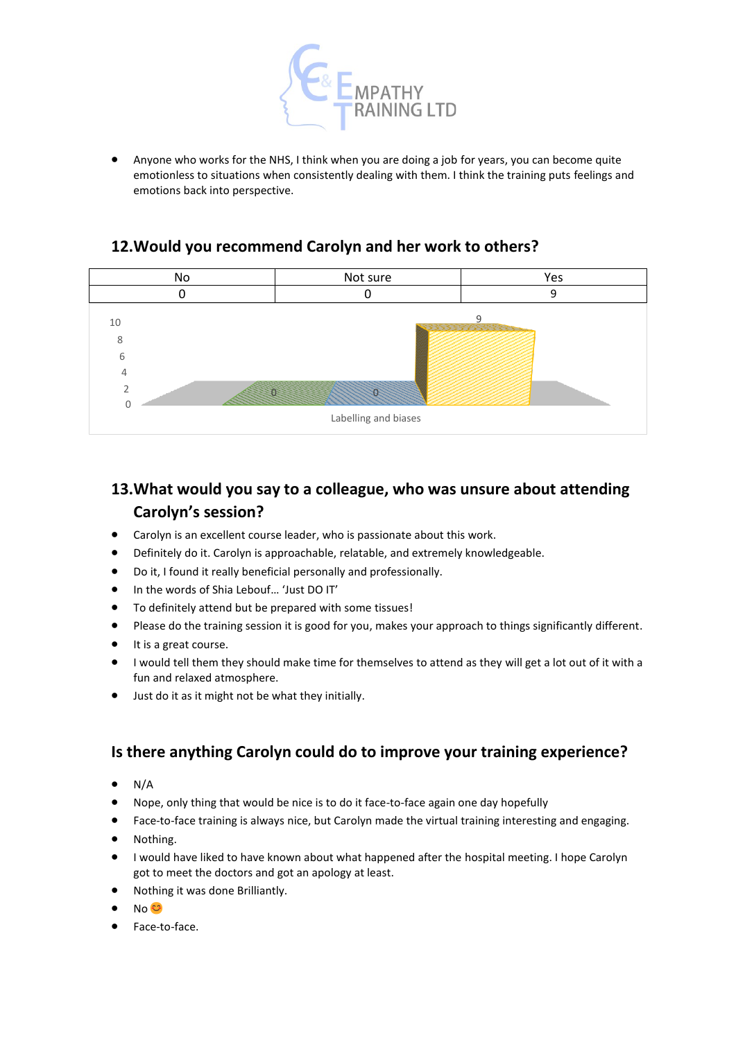

• Anyone who works for the NHS, I think when you are doing a job for years, you can become quite emotionless to situations when consistently dealing with them. I think the training puts feelings and emotions back into perspective.

#### **12.Would you recommend Carolyn and her work to others?**



# **13.What would you say to a colleague, who was unsure about attending Carolyn's session?**

- Carolyn is an excellent course leader, who is passionate about this work.
- Definitely do it. Carolyn is approachable, relatable, and extremely knowledgeable.
- Do it, I found it really beneficial personally and professionally.
- In the words of Shia Lebouf… 'Just DO IT'
- To definitely attend but be prepared with some tissues!
- Please do the training session it is good for you, makes your approach to things significantly different.
- It is a great course.
- I would tell them they should make time for themselves to attend as they will get a lot out of it with a fun and relaxed atmosphere.
- Just do it as it might not be what they initially.

#### **Is there anything Carolyn could do to improve your training experience?**

- $\bullet$  N/A
- Nope, only thing that would be nice is to do it face-to-face again one day hopefully
- Face-to-face training is always nice, but Carolyn made the virtual training interesting and engaging.
- Nothing.
- I would have liked to have known about what happened after the hospital meeting. I hope Carolyn got to meet the doctors and got an apology at least.
- Nothing it was done Brilliantly.
- No <del>€3</del>
- Face-to-face.